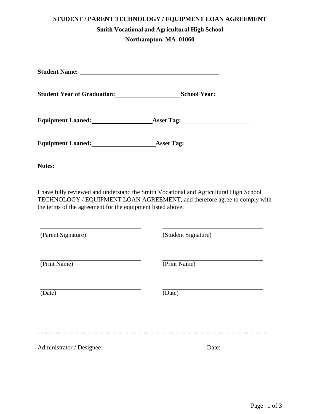## **STUDENT / PARENT TECHNOLOGY / EQUIPMENT LOAN AGREEMENT Smith Vocational and Agricultural High School Northampton, MA 01060**

| Student Name: <u>and the state of the state of the state of the state of the state of the state of the state of the state of the state of the state of the state of the state of the state of the state of the state of the stat</u> |                                                |  |
|--------------------------------------------------------------------------------------------------------------------------------------------------------------------------------------------------------------------------------------|------------------------------------------------|--|
| Student Year of Graduation: <u>[1986]</u>                                                                                                                                                                                            |                                                |  |
|                                                                                                                                                                                                                                      | Equipment Loaned: <u>Asset Tag: Asset Tag:</u> |  |
|                                                                                                                                                                                                                                      | Equipment Loaned: <u>Asset Tag: Asset Tag:</u> |  |
| Notes:                                                                                                                                                                                                                               |                                                |  |

I have fully reviewed and understand the Smith Vocational and Agricultural High School TECHNOLOGY / EQUIPMENT LOAN AGREEMENT, and therefore agree to comply with the terms of the agreement for the equipment listed above:

| (Parent Signature)        | (Student Signature) |
|---------------------------|---------------------|
| (Print Name)              | (Print Name)        |
| (Date)                    | (Date)              |
|                           |                     |
| Administrator / Designee: | Date:               |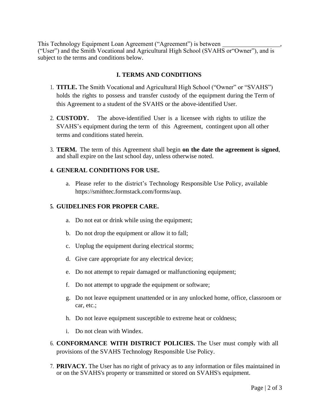This Technology Equipment Loan Agreement ("Agreement") is between , ("User") and the Smith Vocational and Agricultural High School (SVAHS or"Owner"), and is subject to the terms and conditions below.

## **I. TERMS AND CONDITIONS**

- 1. **TITLE.** The Smith Vocational and Agricultural High School ("Owner" or "SVAHS") holds the rights to possess and transfer custody of the equipment during the Term of this Agreement to a student of the SVAHS or the above-identified User.
- 2. **CUSTODY.** The above-identified User is a licensee with rights to utilize the SVAHS's equipment during the term of this Agreement, contingent upon all other terms and conditions stated herein.
- 3. **TERM.** The term of this Agreement shall begin **on the date the agreement is signed**, and shall expire on the last school day, unless otherwise noted.

## **4. GENERAL CONDITIONS FOR USE.**

a. Please refer to the district's Technology Responsible Use Policy, available https://smithtec.formstack.com/forms/aup.

## **5. GUIDELINES FOR PROPER CARE.**

- a. Do not eat or drink while using the equipment;
- b. Do not drop the equipment or allow it to fall;
- c. Unplug the equipment during electrical storms;
- d. Give care appropriate for any electrical device;
- e. Do not attempt to repair damaged or malfunctioning equipment;
- f. Do not attempt to upgrade the equipment or software;
- g. Do not leave equipment unattended or in any unlocked home, office, classroom or car, etc.;
- h. Do not leave equipment susceptible to extreme heat or coldness;
- i. Do not clean with Windex.
- 6. **CONFORMANCE WITH DISTRICT POLICIES.** The User must comply with all provisions of the SVAHS Technology Responsible Use Policy.
- 7. **PRIVACY.** The User has no right of privacy as to any information or files maintained in or on the SVAHS's property or transmitted or stored on SVAHS's equipment.